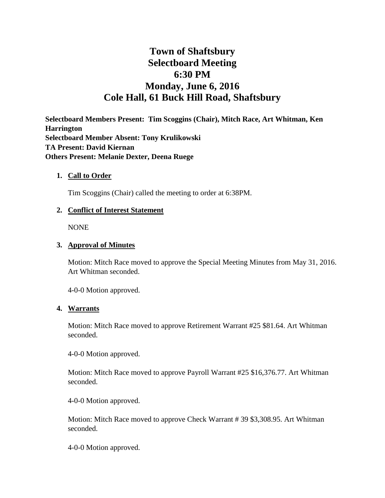# **Town of Shaftsbury Selectboard Meeting 6:30 PM Monday, June 6, 2016 Cole Hall, 61 Buck Hill Road, Shaftsbury**

**Selectboard Members Present: Tim Scoggins (Chair), Mitch Race, Art Whitman, Ken Harrington Selectboard Member Absent: Tony Krulikowski TA Present: David Kiernan Others Present: Melanie Dexter, Deena Ruege**

### **1. Call to Order**

Tim Scoggins (Chair) called the meeting to order at 6:38PM.

#### **2. Conflict of Interest Statement**

NONE

#### **3. Approval of Minutes**

Motion: Mitch Race moved to approve the Special Meeting Minutes from May 31, 2016. Art Whitman seconded.

4-0-0 Motion approved.

#### **4. Warrants**

Motion: Mitch Race moved to approve Retirement Warrant #25 \$81.64. Art Whitman seconded.

4-0-0 Motion approved.

Motion: Mitch Race moved to approve Payroll Warrant #25 \$16,376.77. Art Whitman seconded.

4-0-0 Motion approved.

Motion: Mitch Race moved to approve Check Warrant # 39 \$3,308.95. Art Whitman seconded.

4-0-0 Motion approved.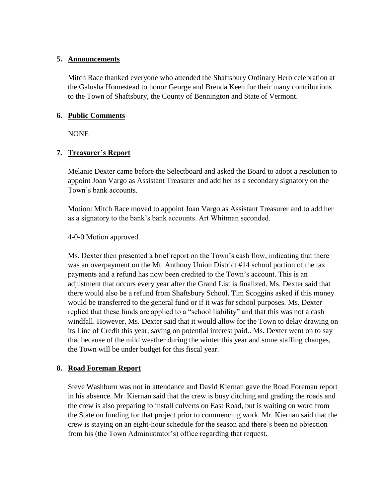### **5. Announcements**

Mitch Race thanked everyone who attended the Shaftsbury Ordinary Hero celebration at the Galusha Homestead to honor George and Brenda Keen for their many contributions to the Town of Shaftsbury, the County of Bennington and State of Vermont.

## **6. Public Comments**

NONE

# **7. Treasurer's Report**

Melanie Dexter came before the Selectboard and asked the Board to adopt a resolution to appoint Joan Vargo as Assistant Treasurer and add her as a secondary signatory on the Town's bank accounts.

Motion: Mitch Race moved to appoint Joan Vargo as Assistant Treasurer and to add her as a signatory to the bank's bank accounts. Art Whitman seconded.

4-0-0 Motion approved.

Ms. Dexter then presented a brief report on the Town's cash flow, indicating that there was an overpayment on the Mt. Anthony Union District #14 school portion of the tax payments and a refund has now been credited to the Town's account. This is an adjustment that occurs every year after the Grand List is finalized. Ms. Dexter said that there would also be a refund from Shaftsbury School. Tim Scoggins asked if this money would be transferred to the general fund or if it was for school purposes. Ms. Dexter replied that these funds are applied to a "school liability" and that this was not a cash windfall. However, Ms. Dexter said that it would allow for the Town to delay drawing on its Line of Credit this year, saving on potential interest paid.. Ms. Dexter went on to say that because of the mild weather during the winter this year and some staffing changes, the Town will be under budget for this fiscal year.

# **8. Road Foreman Report**

Steve Washburn was not in attendance and David Kiernan gave the Road Foreman report in his absence. Mr. Kiernan said that the crew is busy ditching and grading the roads and the crew is also preparing to install culverts on East Road, but is waiting on word from the State on funding for that project prior to commencing work. Mr. Kiernan said that the crew is staying on an eight-hour schedule for the season and there's been no objection from his (the Town Administrator's) office regarding that request.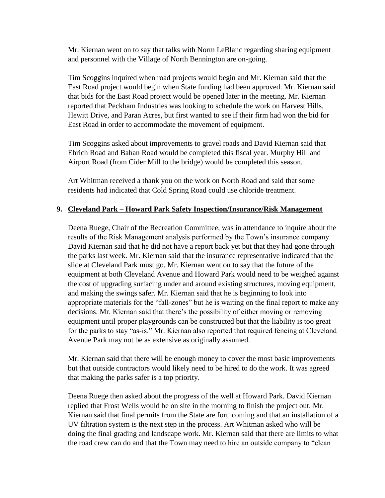Mr. Kiernan went on to say that talks with Norm LeBlanc regarding sharing equipment and personnel with the Village of North Bennington are on-going.

Tim Scoggins inquired when road projects would begin and Mr. Kiernan said that the East Road project would begin when State funding had been approved. Mr. Kiernan said that bids for the East Road project would be opened later in the meeting. Mr. Kiernan reported that Peckham Industries was looking to schedule the work on Harvest Hills, Hewitt Drive, and Paran Acres, but first wanted to see if their firm had won the bid for East Road in order to accommodate the movement of equipment.

Tim Scoggins asked about improvements to gravel roads and David Kiernan said that Ehrich Road and Bahan Road would be completed this fiscal year. Murphy Hill and Airport Road (from Cider Mill to the bridge) would be completed this season.

Art Whitman received a thank you on the work on North Road and said that some residents had indicated that Cold Spring Road could use chloride treatment.

# **9. Cleveland Park – Howard Park Safety Inspection/Insurance/Risk Management**

Deena Ruege, Chair of the Recreation Committee, was in attendance to inquire about the results of the Risk Management analysis performed by the Town's insurance company. David Kiernan said that he did not have a report back yet but that they had gone through the parks last week. Mr. Kiernan said that the insurance representative indicated that the slide at Cleveland Park must go. Mr. Kiernan went on to say that the future of the equipment at both Cleveland Avenue and Howard Park would need to be weighed against the cost of upgrading surfacing under and around existing structures, moving equipment, and making the swings safer. Mr. Kiernan said that he is beginning to look into appropriate materials for the "fall-zones" but he is waiting on the final report to make any decisions. Mr. Kiernan said that there's the possibility of either moving or removing equipment until proper playgrounds can be constructed but that the liability is too great for the parks to stay "as-is." Mr. Kiernan also reported that required fencing at Cleveland Avenue Park may not be as extensive as originally assumed.

Mr. Kiernan said that there will be enough money to cover the most basic improvements but that outside contractors would likely need to be hired to do the work. It was agreed that making the parks safer is a top priority.

Deena Ruege then asked about the progress of the well at Howard Park. David Kiernan replied that Frost Wells would be on site in the morning to finish the project out. Mr. Kiernan said that final permits from the State are forthcoming and that an installation of a UV filtration system is the next step in the process. Art Whitman asked who will be doing the final grading and landscape work. Mr. Kiernan said that there are limits to what the road crew can do and that the Town may need to hire an outside company to "clean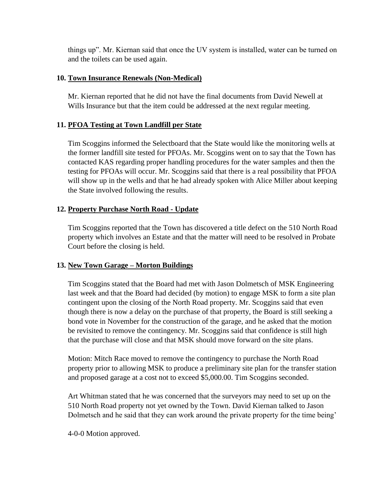things up". Mr. Kiernan said that once the UV system is installed, water can be turned on and the toilets can be used again.

## **10. Town Insurance Renewals (Non-Medical)**

Mr. Kiernan reported that he did not have the final documents from David Newell at Wills Insurance but that the item could be addressed at the next regular meeting.

# **11. PFOA Testing at Town Landfill per State**

Tim Scoggins informed the Selectboard that the State would like the monitoring wells at the former landfill site tested for PFOAs. Mr. Scoggins went on to say that the Town has contacted KAS regarding proper handling procedures for the water samples and then the testing for PFOAs will occur. Mr. Scoggins said that there is a real possibility that PFOA will show up in the wells and that he had already spoken with Alice Miller about keeping the State involved following the results.

# **12. Property Purchase North Road - Update**

Tim Scoggins reported that the Town has discovered a title defect on the 510 North Road property which involves an Estate and that the matter will need to be resolved in Probate Court before the closing is held.

# **13. New Town Garage – Morton Buildings**

Tim Scoggins stated that the Board had met with Jason Dolmetsch of MSK Engineering last week and that the Board had decided (by motion) to engage MSK to form a site plan contingent upon the closing of the North Road property. Mr. Scoggins said that even though there is now a delay on the purchase of that property, the Board is still seeking a bond vote in November for the construction of the garage, and he asked that the motion be revisited to remove the contingency. Mr. Scoggins said that confidence is still high that the purchase will close and that MSK should move forward on the site plans.

Motion: Mitch Race moved to remove the contingency to purchase the North Road property prior to allowing MSK to produce a preliminary site plan for the transfer station and proposed garage at a cost not to exceed \$5,000.00. Tim Scoggins seconded.

Art Whitman stated that he was concerned that the surveyors may need to set up on the 510 North Road property not yet owned by the Town. David Kiernan talked to Jason Dolmetsch and he said that they can work around the private property for the time being'

4-0-0 Motion approved.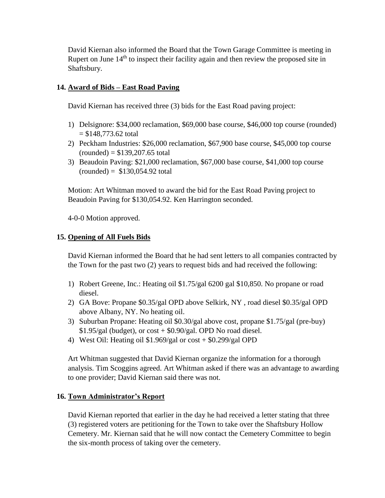David Kiernan also informed the Board that the Town Garage Committee is meeting in Rupert on June  $14<sup>th</sup>$  to inspect their facility again and then review the proposed site in Shaftsbury.

# **14. Award of Bids – East Road Paving**

David Kiernan has received three (3) bids for the East Road paving project:

- 1) Delsignore: \$34,000 reclamation, \$69,000 base course, \$46,000 top course (rounded)  $= $148,773.62$  total
- 2) Peckham Industries: \$26,000 reclamation, \$67,900 base course, \$45,000 top course  $(rounded) = $139,207.65 total$
- 3) Beaudoin Paving: \$21,000 reclamation, \$67,000 base course, \$41,000 top course  $(rounded) = $130,054.92 total$

Motion: Art Whitman moved to award the bid for the East Road Paving project to Beaudoin Paving for \$130,054.92. Ken Harrington seconded.

4-0-0 Motion approved.

# **15. Opening of All Fuels Bids**

David Kiernan informed the Board that he had sent letters to all companies contracted by the Town for the past two (2) years to request bids and had received the following:

- 1) Robert Greene, Inc.: Heating oil \$1.75/gal 6200 gal \$10,850. No propane or road diesel.
- 2) GA Bove: Propane \$0.35/gal OPD above Selkirk, NY , road diesel \$0.35/gal OPD above Albany, NY. No heating oil.
- 3) Suburban Propane: Heating oil \$0.30/gal above cost, propane \$1.75/gal (pre-buy)  $$1.95/gal$  (budget), or cost +  $$0.90/gal$ . OPD No road diesel.
- 4) West Oil: Heating oil \$1.969/gal or cost + \$0.299/gal OPD

Art Whitman suggested that David Kiernan organize the information for a thorough analysis. Tim Scoggins agreed. Art Whitman asked if there was an advantage to awarding to one provider; David Kiernan said there was not.

# **16. Town Administrator's Report**

David Kiernan reported that earlier in the day he had received a letter stating that three (3) registered voters are petitioning for the Town to take over the Shaftsbury Hollow Cemetery. Mr. Kiernan said that he will now contact the Cemetery Committee to begin the six-month process of taking over the cemetery.